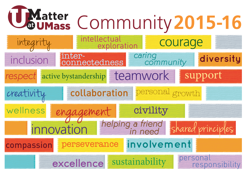